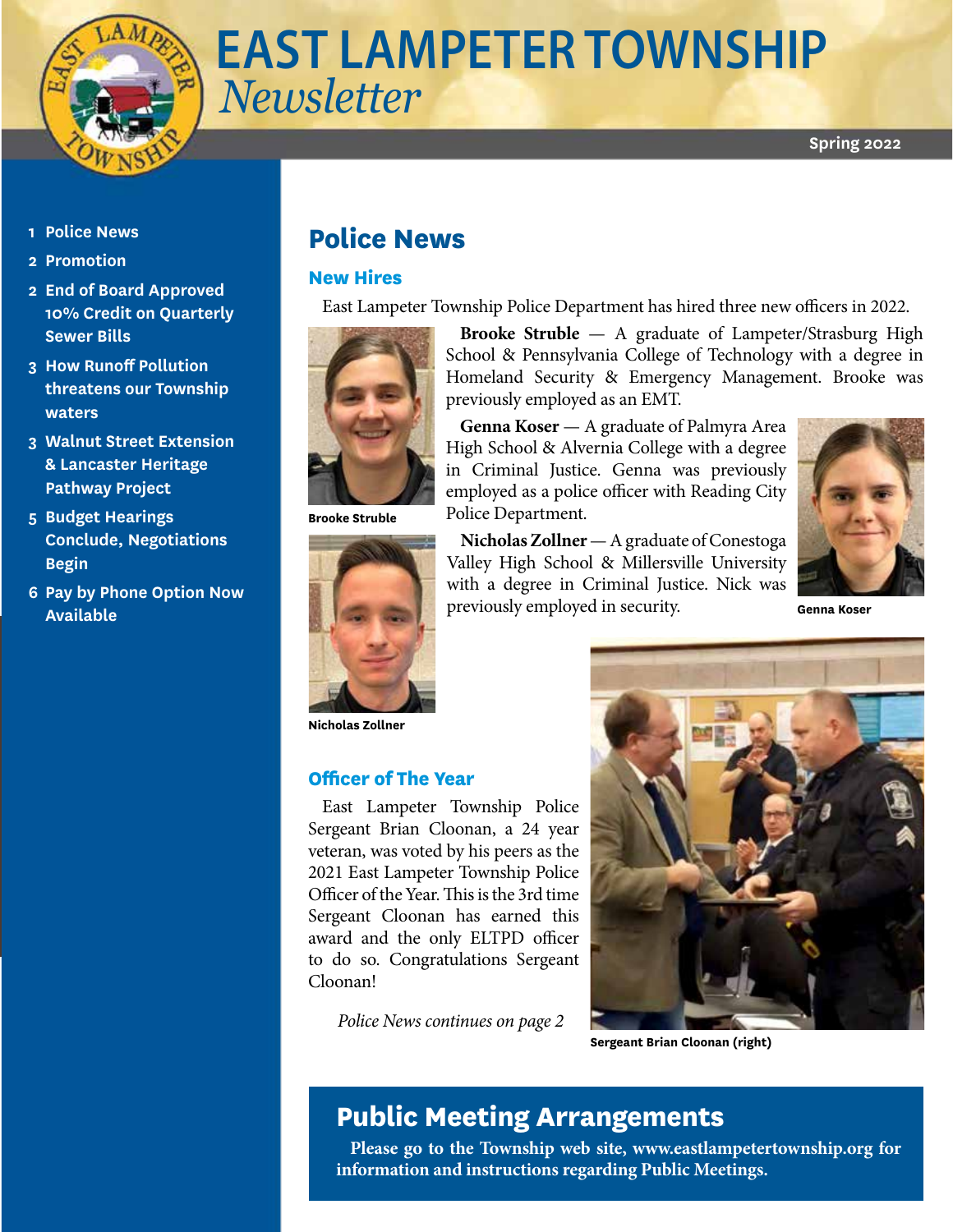

# **EAST LAMPETER TOWNSHIP**   *Newsletter*

- **1 Police News**
- **2 Promotion**
- **2 End of Board Approved 10% Credit on Quarterly Sewer Bills**
- **3 How Runoff Pollution threatens our Township waters**
- **3 Walnut Street Extension & Lancaster Heritage Pathway Project**
- **5 Budget Hearings Conclude, Negotiations Begin**
- **6 Pay by Phone Option Now Available**

# **Police News**

### **New Hires**

East Lampeter Township Police Department has hired three new officers in 2022.



**Genna Koser** — A graduate of Palmyra Area High School & Alvernia College with a degree in Criminal Justice. Genna was previously

**Brooke Struble**



**Nicholas Zollner**

### **Officer of The Year**

East Lampeter Township Police Sergeant Brian Cloonan, a 24 year veteran, was voted by his peers as the 2021 East Lampeter Township Police Officer of the Year. This is the 3rd time Sergeant Cloonan has earned this award and the only ELTPD officer to do so. Congratulations Sergeant Cloonan!

*Police News continues on page 2*



**Sergeant Brian Cloonan (right)**

# **Public Meeting Arrangements**

**Please go to the Township web site, www.eastlampetertownship.org for information and instructions regarding Public Meetings.**

**Brooke Struble** — A graduate of Lampeter/Strasburg High School & Pennsylvania College of Technology with a degree in Homeland Security & Emergency Management. Brooke was previously employed as an EMT.

employed as a police officer with Reading City Police Department.

**Nicholas Zollner** — A graduate of Conestoga Valley High School & Millersville University with a degree in Criminal Justice. Nick was previously employed in security.



**Genna Koser**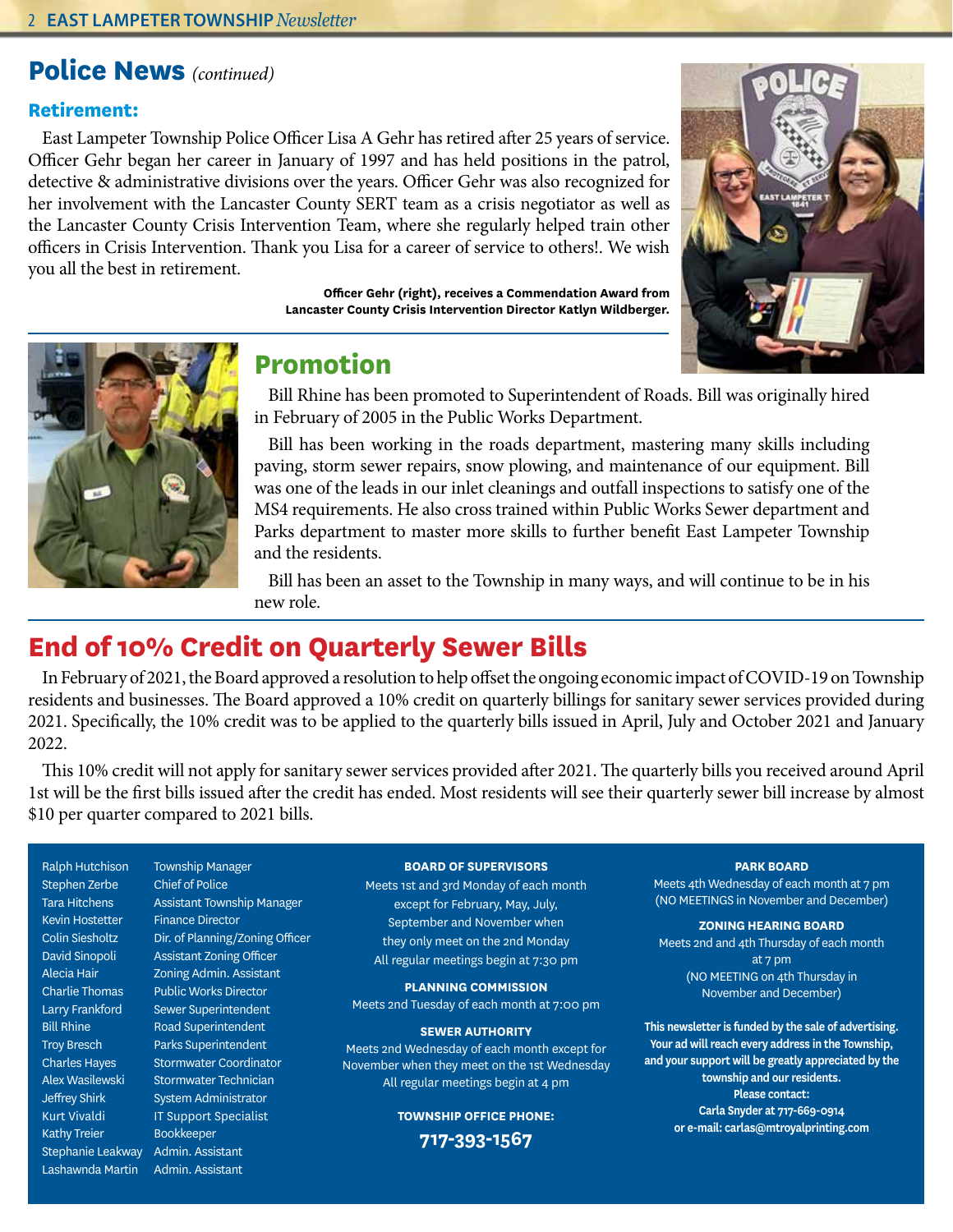### **Police News** *(continued)*

### **Retirement:**

East Lampeter Township Police Officer Lisa A Gehr has retired after 25 years of service. Officer Gehr began her career in January of 1997 and has held positions in the patrol, detective & administrative divisions over the years. Officer Gehr was also recognized for her involvement with the Lancaster County SERT team as a crisis negotiator as well as the Lancaster County Crisis Intervention Team, where she regularly helped train other officers in Crisis Intervention. Thank you Lisa for a career of service to others!. We wish you all the best in retirement.

> **Officer Gehr (right), receives a Commendation Award from Lancaster County Crisis Intervention Director Katlyn Wildberger.**





# **Promotion**

Bill Rhine has been promoted to Superintendent of Roads. Bill was originally hired in February of 2005 in the Public Works Department.

Bill has been working in the roads department, mastering many skills including paving, storm sewer repairs, snow plowing, and maintenance of our equipment. Bill was one of the leads in our inlet cleanings and outfall inspections to satisfy one of the MS4 requirements. He also cross trained within Public Works Sewer department and Parks department to master more skills to further benefit East Lampeter Township and the residents.

Bill has been an asset to the Township in many ways, and will continue to be in his new role.

# **End of 10% Credit on Quarterly Sewer Bills**

In February of 2021, the Board approved a resolution to help offset the ongoing economic impact of COVID-19 on Township residents and businesses. The Board approved a 10% credit on quarterly billings for sanitary sewer services provided during 2021. Specifically, the 10% credit was to be applied to the quarterly bills issued in April, July and October 2021 and January 2022.

This 10% credit will not apply for sanitary sewer services provided after 2021. The quarterly bills you received around April 1st will be the first bills issued after the credit has ended. Most residents will see their quarterly sewer bill increase by almost \$10 per quarter compared to 2021 bills.

Stephen Zerbe Chief of Police Kevin Hostetter Finance Director Kathy Treier **Bookkeeper** 

Ralph Hutchison Township Manager Tara Hitchens Assistant Township Manager Colin Siesholtz Dir. of Planning/Zoning Officer David Sinopoli Assistant Zoning Officer Alecia Hair Zoning Admin. Assistant Charlie Thomas Public Works Director Larry Frankford Sewer Superintendent Bill Rhine Road Superintendent Troy Bresch Parks Superintendent Charles Hayes Stormwater Coordinator Alex Wasilewski Stormwater Technician Jeffrey Shirk System Administrator Kurt Vivaldi IT Support Specialist Stephanie Leakway Admin. Assistant Lashawnda Martin Admin. Assistant

#### **BOARD OF SUPERVISORS**

Meets 1st and 3rd Monday of each month except for February, May, July, September and November when they only meet on the 2nd Monday All regular meetings begin at 7:30 pm

**PLANNING COMMISSION** Meets 2nd Tuesday of each month at 7:00 pm

#### **SEWER AUTHORITY**

Meets 2nd Wednesday of each month except for November when they meet on the 1st Wednesday All regular meetings begin at 4 pm

#### **TOWNSHIP OFFICE PHONE:**

**717-393-1567**

#### **PARK BOARD**

Meets 4th Wednesday of each month at 7 pm (NO MEETINGS in November and December)

#### **ZONING HEARING BOARD** Meets 2nd and 4th Thursday of each month at 7 pm

(NO MEETING on 4th Thursday in November and December)

**This newsletter is funded by the sale of advertising. Your ad will reach every address in the Township, and your support will be greatly appreciated by the township and our residents. Please contact: Carla Snyder at 717-669-0914 or e-mail: carlas@mtroyalprinting.com**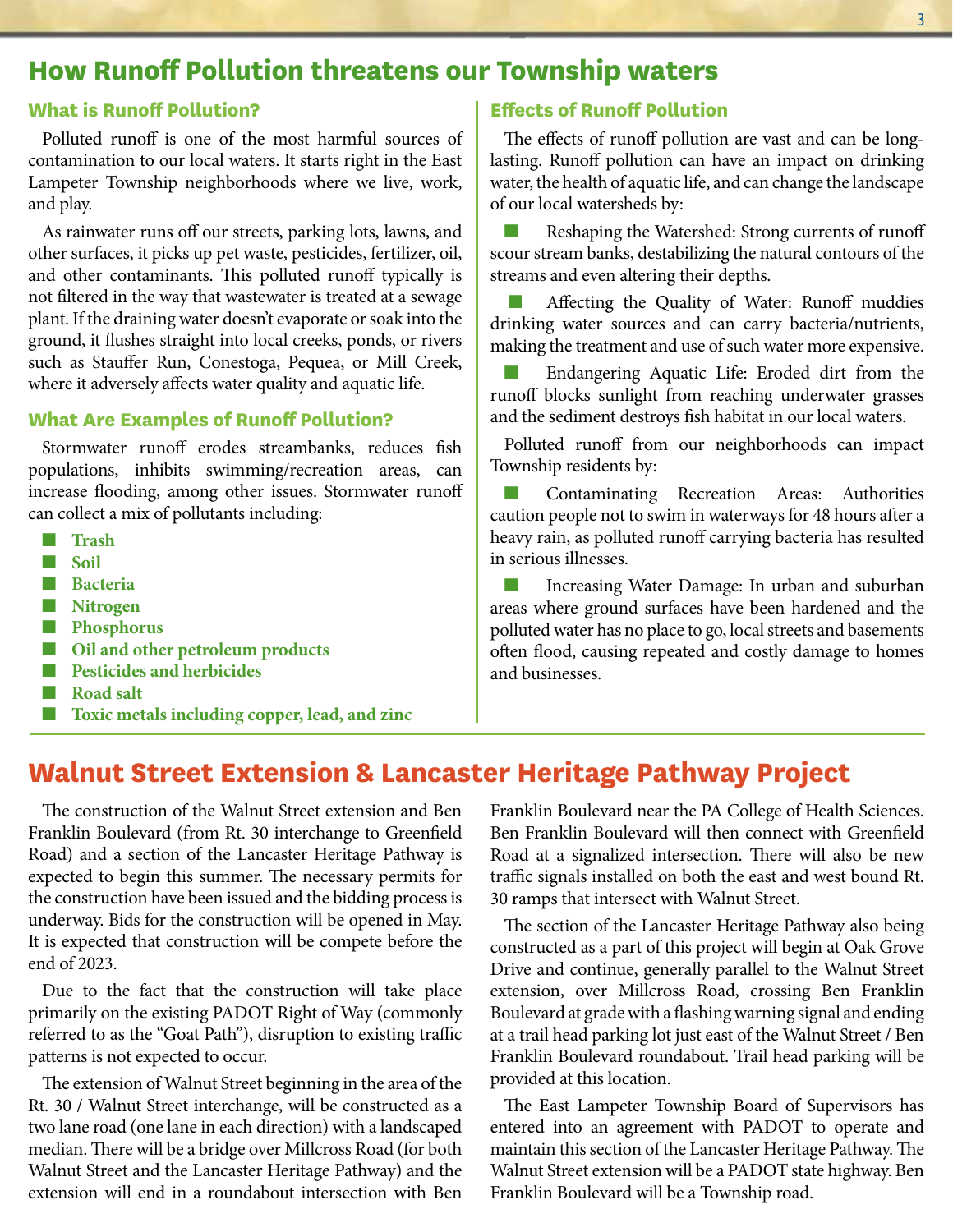### **How Runoff Pollution threatens our Township waters**

### **What is Runoff Pollution?**

Polluted runoff is one of the most harmful sources of contamination to our local waters. It starts right in the East Lampeter Township neighborhoods where we live, work, and play.

As rainwater runs off our streets, parking lots, lawns, and other surfaces, it picks up pet waste, pesticides, fertilizer, oil, and other contaminants. This polluted runoff typically is not filtered in the way that wastewater is treated at a sewage plant. If the draining water doesn't evaporate or soak into the ground, it flushes straight into local creeks, ponds, or rivers such as Stauffer Run, Conestoga, Pequea, or Mill Creek, where it adversely affects water quality and aquatic life.

### **What Are Examples of Runoff Pollution?**

Stormwater runoff erodes streambanks, reduces fish populations, inhibits swimming/recreation areas, can increase flooding, among other issues. Stormwater runoff can collect a mix of pollutants including:

- **Trash**
- **Soil**
- **Bacteria**
- **Nitrogen**
- **Phosphorus**
- **Oil and other petroleum products**
- $\blacksquare$  **Pesticides and herbicides**
- **Road salt**
- **Toxic metals including copper, lead, and zinc**

### **Effects of Runoff Pollution**

The effects of runoff pollution are vast and can be longlasting. Runoff pollution can have an impact on drinking water, the health of aquatic life, and can change the landscape of our local watersheds by:

Reshaping the Watershed: Strong currents of runoff scour stream banks, destabilizing the natural contours of the streams and even altering their depths.

Affecting the Quality of Water: Runoff muddies drinking water sources and can carry bacteria/nutrients, making the treatment and use of such water more expensive.

Endangering Aquatic Life: Eroded dirt from the runoff blocks sunlight from reaching underwater grasses and the sediment destroys fish habitat in our local waters.

Polluted runoff from our neighborhoods can impact Township residents by:

Contaminating Recreation Areas: Authorities caution people not to swim in waterways for 48 hours after a heavy rain, as polluted runoff carrying bacteria has resulted in serious illnesses.

Increasing Water Damage: In urban and suburban areas where ground surfaces have been hardened and the polluted water has no place to go, local streets and basements often flood, causing repeated and costly damage to homes and businesses.

### **Walnut Street Extension & Lancaster Heritage Pathway Project**

The construction of the Walnut Street extension and Ben Franklin Boulevard (from Rt. 30 interchange to Greenfield Road) and a section of the Lancaster Heritage Pathway is expected to begin this summer. The necessary permits for the construction have been issued and the bidding process is underway. Bids for the construction will be opened in May. It is expected that construction will be compete before the end of 2023.

Due to the fact that the construction will take place primarily on the existing PADOT Right of Way (commonly referred to as the "Goat Path"), disruption to existing traffic patterns is not expected to occur.

The extension of Walnut Street beginning in the area of the Rt. 30 / Walnut Street interchange, will be constructed as a two lane road (one lane in each direction) with a landscaped median. There will be a bridge over Millcross Road (for both Walnut Street and the Lancaster Heritage Pathway) and the extension will end in a roundabout intersection with Ben Franklin Boulevard near the PA College of Health Sciences. Ben Franklin Boulevard will then connect with Greenfield Road at a signalized intersection. There will also be new traffic signals installed on both the east and west bound Rt. 30 ramps that intersect with Walnut Street.

The section of the Lancaster Heritage Pathway also being constructed as a part of this project will begin at Oak Grove Drive and continue, generally parallel to the Walnut Street extension, over Millcross Road, crossing Ben Franklin Boulevard at grade with a flashing warning signal and ending at a trail head parking lot just east of the Walnut Street / Ben Franklin Boulevard roundabout. Trail head parking will be provided at this location.

The East Lampeter Township Board of Supervisors has entered into an agreement with PADOT to operate and maintain this section of the Lancaster Heritage Pathway. The Walnut Street extension will be a PADOT state highway. Ben Franklin Boulevard will be a Township road.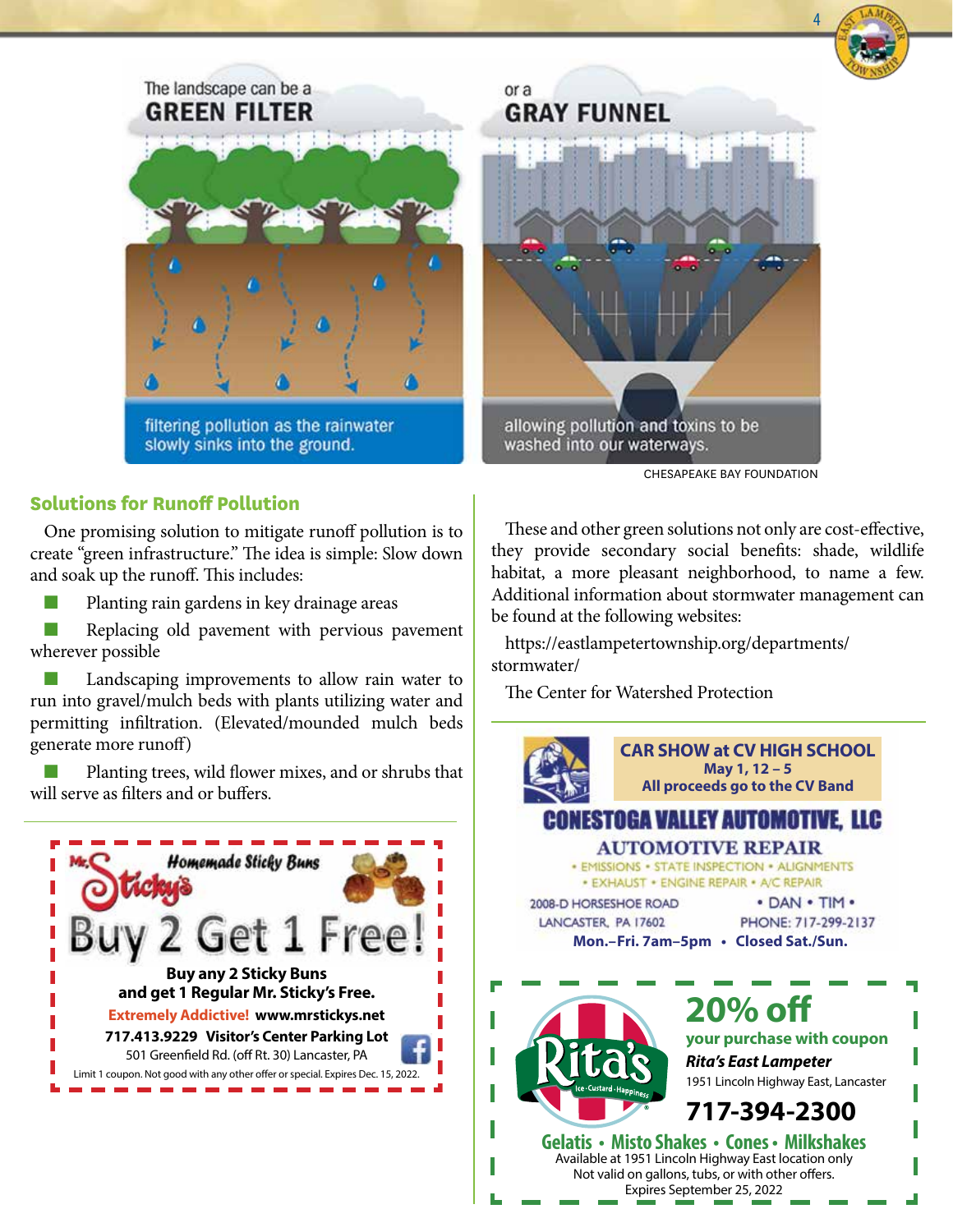### The landscape can be a **GREEN FILTER**



filtering pollution as the rainwater slowly sinks into the ground.

### **Solutions for Runoff Pollution**

One promising solution to mitigate runoff pollution is to create "green infrastructure." The idea is simple: Slow down and soak up the runoff. This includes:

Planting rain gardens in key drainage areas

Replacing old pavement with pervious pavement wherever possible

Landscaping improvements to allow rain water to run into gravel/mulch beds with plants utilizing water and permitting infiltration. (Elevated/mounded mulch beds generate more runoff)

Planting trees, wild flower mixes, and or shrubs that will serve as filters and or buffers.





allowing pollution and toxins to be washed into our waterways.

CHESAPEAKE BAY FOUNDATION

4

These and other green solutions not only are cost-effective, they provide secondary social benefits: shade, wildlife habitat, a more pleasant neighborhood, to name a few. Additional information about stormwater management can be found at the following websites:

https://eastlampetertownship.org/departments/ stormwater/

The Center for Watershed Protection



Not valid on gallons, tubs, or with other offers. Expires September 25, 2022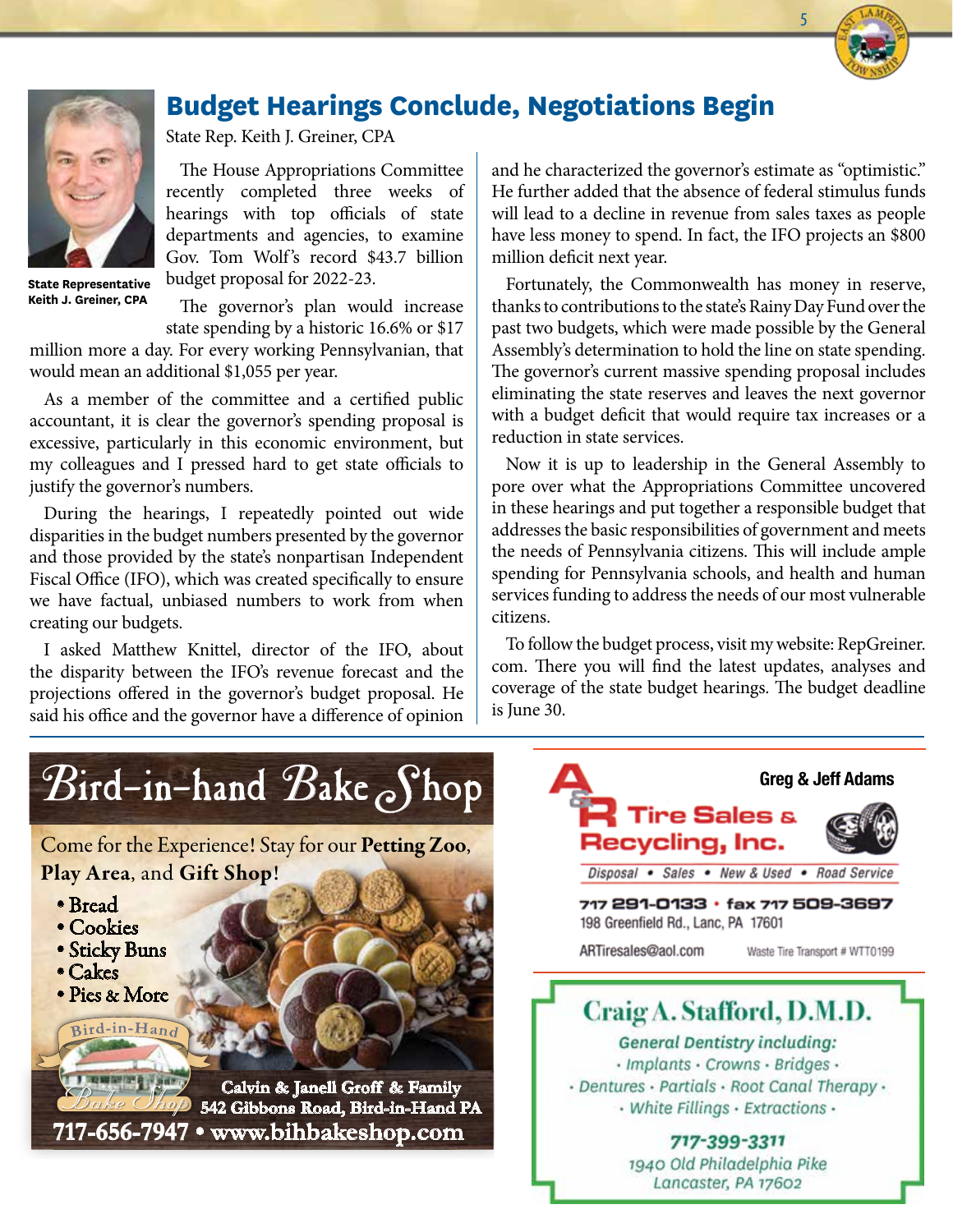

5

# **Budget Hearings Conclude, Negotiations Begin**



State Rep. Keith J. Greiner, CPA

The House Appropriations Committee recently completed three weeks of hearings with top officials of state departments and agencies, to examine Gov. Tom Wolf's record \$43.7 billion budget proposal for 2022-23.

**State Representative Keith J. Greiner, CPA** 

The governor's plan would increase state spending by a historic 16.6% or \$17

million more a day. For every working Pennsylvanian, that would mean an additional \$1,055 per year.

As a member of the committee and a certified public accountant, it is clear the governor's spending proposal is excessive, particularly in this economic environment, but my colleagues and I pressed hard to get state officials to justify the governor's numbers.

During the hearings, I repeatedly pointed out wide disparities in the budget numbers presented by the governor and those provided by the state's nonpartisan Independent Fiscal Office (IFO), which was created specifically to ensure we have factual, unbiased numbers to work from when creating our budgets.

I asked Matthew Knittel, director of the IFO, about the disparity between the IFO's revenue forecast and the projections offered in the governor's budget proposal. He said his office and the governor have a difference of opinion and he characterized the governor's estimate as "optimistic." He further added that the absence of federal stimulus funds will lead to a decline in revenue from sales taxes as people have less money to spend. In fact, the IFO projects an \$800 million deficit next year.

Fortunately, the Commonwealth has money in reserve, thanks to contributions to the state's Rainy Day Fund over the past two budgets, which were made possible by the General Assembly's determination to hold the line on state spending. The governor's current massive spending proposal includes eliminating the state reserves and leaves the next governor with a budget deficit that would require tax increases or a reduction in state services.

Now it is up to leadership in the General Assembly to pore over what the Appropriations Committee uncovered in these hearings and put together a responsible budget that addresses the basic responsibilities of government and meets the needs of Pennsylvania citizens. This will include ample spending for Pennsylvania schools, and health and human services funding to address the needs of our most vulnerable citizens.

To follow the budget process, visit my website: RepGreiner. com. There you will find the latest updates, analyses and coverage of the state budget hearings. The budget deadline is June 30.





717-399-3311 1940 Old Philadelphia Pike Lancaster, PA 17602